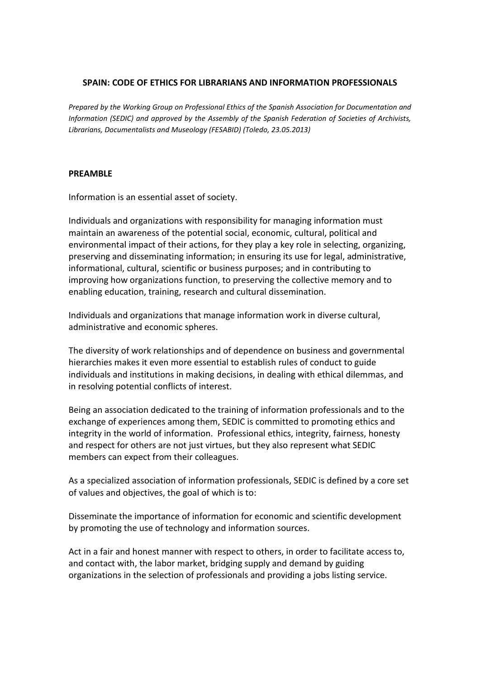#### **SPAIN: CODE OF ETHICS FOR LIBRARIANS AND INFORMATION PROFESSIONALS**

*Prepared by the Working Group on Professional Ethics of the Spanish Association for Documentation and Information (SEDIC) and approved by the Assembly of the Spanish Federation of Societies of Archivists, Librarians, Documentalists and Museology (FESABID) (Toledo, 23.05.2013)*

#### **PREAMBLE**

Information is an essential asset of society.

Individuals and organizations with responsibility for managing information must maintain an awareness of the potential social, economic, cultural, political and environmental impact of their actions, for they play a key role in selecting, organizing, preserving and disseminating information; in ensuring its use for legal, administrative, informational, cultural, scientific or business purposes; and in contributing to improving how organizations function, to preserving the collective memory and to enabling education, training, research and cultural dissemination.

Individuals and organizations that manage information work in diverse cultural, administrative and economic spheres.

The diversity of work relationships and of dependence on business and governmental hierarchies makes it even more essential to establish rules of conduct to guide individuals and institutions in making decisions, in dealing with ethical dilemmas, and in resolving potential conflicts of interest.

Being an association dedicated to the training of information professionals and to the exchange of experiences among them, SEDIC is committed to promoting ethics and integrity in the world of information. Professional ethics, integrity, fairness, honesty and respect for others are not just virtues, but they also represent what SEDIC members can expect from their colleagues.

As a specialized association of information professionals, SEDIC is defined by a core set of values and objectives, the goal of which is to:

Disseminate the importance of information for economic and scientific development by promoting the use of technology and information sources.

Act in a fair and honest manner with respect to others, in order to facilitate access to, and contact with, the labor market, bridging supply and demand by guiding organizations in the selection of professionals and providing a jobs listing service.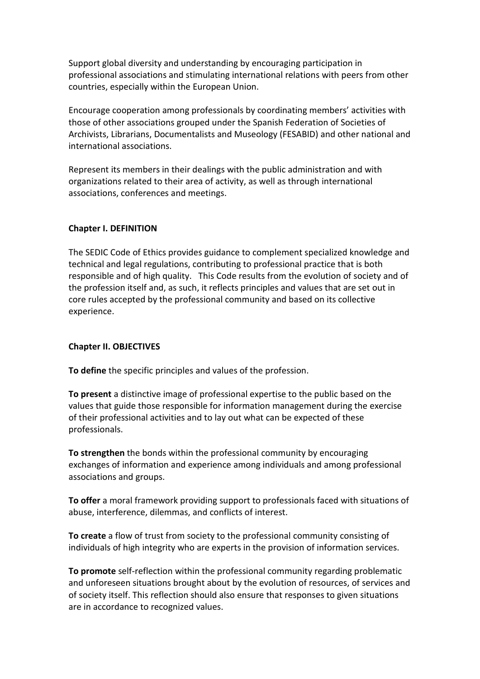Support global diversity and understanding by encouraging participation in professional associations and stimulating international relations with peers from other countries, especially within the European Union.

Encourage cooperation among professionals by coordinating members' activities with those of other associations grouped under the Spanish Federation of Societies of Archivists, Librarians, Documentalists and Museology (FESABID) and other national and international associations.

Represent its members in their dealings with the public administration and with organizations related to their area of activity, as well as through international associations, conferences and meetings.

### **Chapter I. DEFINITION**

The SEDIC Code of Ethics provides guidance to complement specialized knowledge and technical and legal regulations, contributing to professional practice that is both responsible and of high quality. This Code results from the evolution of society and of the profession itself and, as such, it reflects principles and values that are set out in core rules accepted by the professional community and based on its collective experience.

#### **Chapter II. OBJECTIVES**

**To define** the specific principles and values of the profession.

**To present** a distinctive image of professional expertise to the public based on the values that guide those responsible for information management during the exercise of their professional activities and to lay out what can be expected of these professionals.

**To strengthen** the bonds within the professional community by encouraging exchanges of information and experience among individuals and among professional associations and groups.

**To offer** a moral framework providing support to professionals faced with situations of abuse, interference, dilemmas, and conflicts of interest.

**To create** a flow of trust from society to the professional community consisting of individuals of high integrity who are experts in the provision of information services.

**To promote** self-reflection within the professional community regarding problematic and unforeseen situations brought about by the evolution of resources, of services and of society itself. This reflection should also ensure that responses to given situations are in accordance to recognized values.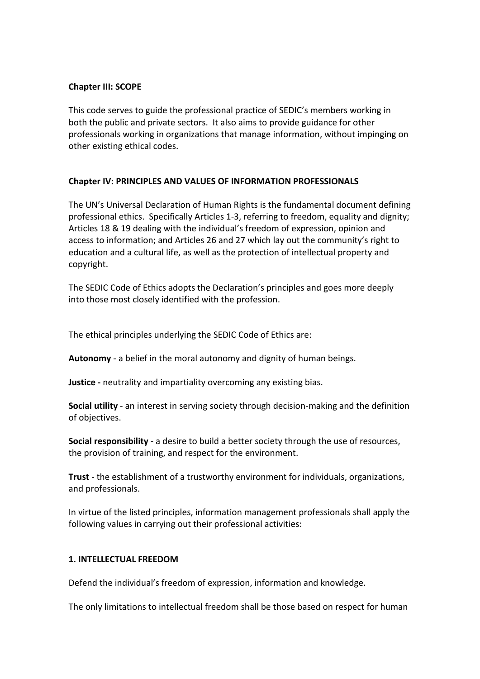### **Chapter III: SCOPE**

This code serves to guide the professional practice of SEDIC's members working in both the public and private sectors. It also aims to provide guidance for other professionals working in organizations that manage information, without impinging on other existing ethical codes.

# **Chapter IV: PRINCIPLES AND VALUES OF INFORMATION PROFESSIONALS**

The UN's Universal Declaration of Human Rights is the fundamental document defining professional ethics. Specifically Articles 1-3, referring to freedom, equality and dignity; Articles 18 & 19 dealing with the individual's freedom of expression, opinion and access to information; and Articles 26 and 27 which lay out the community's right to education and a cultural life, as well as the protection of intellectual property and copyright.

The SEDIC Code of Ethics adopts the Declaration's principles and goes more deeply into those most closely identified with the profession.

The ethical principles underlying the SEDIC Code of Ethics are:

**Autonomy** - a belief in the moral autonomy and dignity of human beings.

**Justice -** neutrality and impartiality overcoming any existing bias.

**Social utility** - an interest in serving society through decision-making and the definition of objectives.

**Social responsibility** - a desire to build a better society through the use of resources, the provision of training, and respect for the environment.

**Trust** - the establishment of a trustworthy environment for individuals, organizations, and professionals.

In virtue of the listed principles, information management professionals shall apply the following values in carrying out their professional activities:

#### **1. INTELLECTUAL FREEDOM**

Defend the individual's freedom of expression, information and knowledge.

The only limitations to intellectual freedom shall be those based on respect for human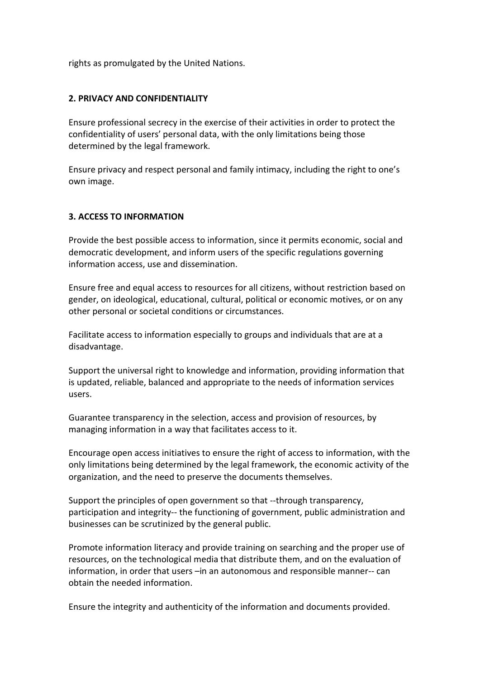rights as promulgated by the United Nations.

#### **2. PRIVACY AND CONFIDENTIALITY**

Ensure professional secrecy in the exercise of their activities in order to protect the confidentiality of users' personal data, with the only limitations being those determined by the legal framework.

Ensure privacy and respect personal and family intimacy, including the right to one's own image.

#### **3. ACCESS TO INFORMATION**

Provide the best possible access to information, since it permits economic, social and democratic development, and inform users of the specific regulations governing information access, use and dissemination.

Ensure free and equal access to resources for all citizens, without restriction based on gender, on ideological, educational, cultural, political or economic motives, or on any other personal or societal conditions or circumstances.

Facilitate access to information especially to groups and individuals that are at a disadvantage.

Support the universal right to knowledge and information, providing information that is updated, reliable, balanced and appropriate to the needs of information services users.

Guarantee transparency in the selection, access and provision of resources, by managing information in a way that facilitates access to it.

Encourage open access initiatives to ensure the right of access to information, with the only limitations being determined by the legal framework, the economic activity of the organization, and the need to preserve the documents themselves.

Support the principles of open government so that --through transparency, participation and integrity-- the functioning of government, public administration and businesses can be scrutinized by the general public.

Promote information literacy and provide training on searching and the proper use of resources, on the technological media that distribute them, and on the evaluation of information, in order that users –in an autonomous and responsible manner-- can obtain the needed information.

Ensure the integrity and authenticity of the information and documents provided.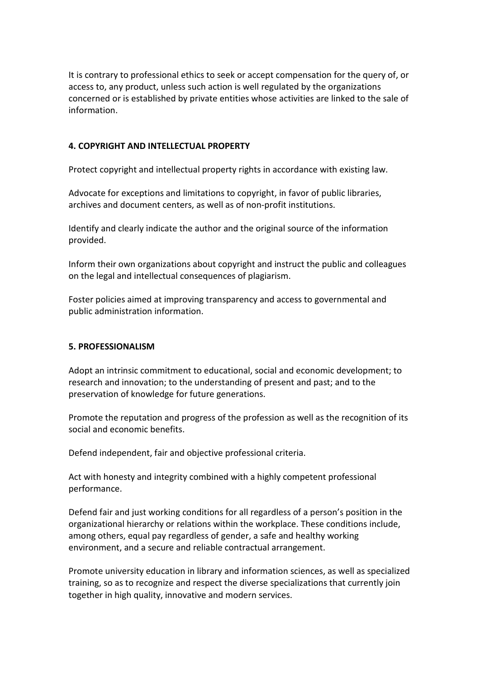It is contrary to professional ethics to seek or accept compensation for the query of, or access to, any product, unless such action is well regulated by the organizations concerned or is established by private entities whose activities are linked to the sale of information.

#### **4. COPYRIGHT AND INTELLECTUAL PROPERTY**

Protect copyright and intellectual property rights in accordance with existing law.

Advocate for exceptions and limitations to copyright, in favor of public libraries, archives and document centers, as well as of non-profit institutions.

Identify and clearly indicate the author and the original source of the information provided.

Inform their own organizations about copyright and instruct the public and colleagues on the legal and intellectual consequences of plagiarism.

Foster policies aimed at improving transparency and access to governmental and public administration information.

#### **5. PROFESSIONALISM**

Adopt an intrinsic commitment to educational, social and economic development; to research and innovation; to the understanding of present and past; and to the preservation of knowledge for future generations.

Promote the reputation and progress of the profession as well as the recognition of its social and economic benefits.

Defend independent, fair and objective professional criteria.

Act with honesty and integrity combined with a highly competent professional performance.

Defend fair and just working conditions for all regardless of a person's position in the organizational hierarchy or relations within the workplace. These conditions include, among others, equal pay regardless of gender, a safe and healthy working environment, and a secure and reliable contractual arrangement.

Promote university education in library and information sciences, as well as specialized training, so as to recognize and respect the diverse specializations that currently join together in high quality, innovative and modern services.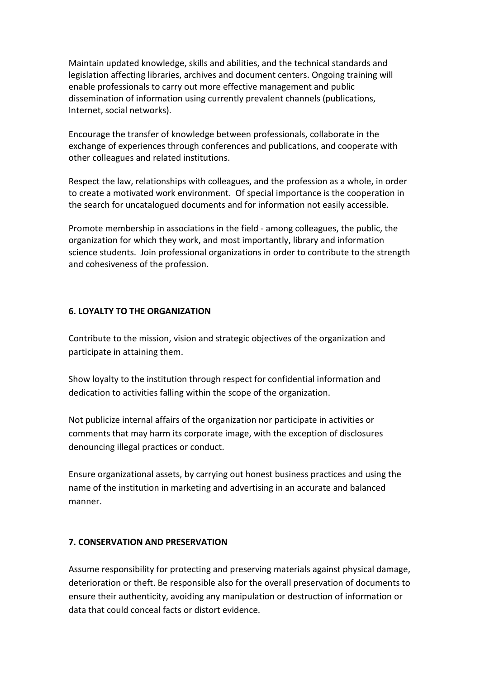Maintain updated knowledge, skills and abilities, and the technical standards and legislation affecting libraries, archives and document centers. Ongoing training will enable professionals to carry out more effective management and public dissemination of information using currently prevalent channels (publications, Internet, social networks).

Encourage the transfer of knowledge between professionals, collaborate in the exchange of experiences through conferences and publications, and cooperate with other colleagues and related institutions.

Respect the law, relationships with colleagues, and the profession as a whole, in order to create a motivated work environment. Of special importance is the cooperation in the search for uncatalogued documents and for information not easily accessible.

Promote membership in associations in the field - among colleagues, the public, the organization for which they work, and most importantly, library and information science students. Join professional organizations in order to contribute to the strength and cohesiveness of the profession.

### **6. LOYALTY TO THE ORGANIZATION**

Contribute to the mission, vision and strategic objectives of the organization and participate in attaining them.

Show loyalty to the institution through respect for confidential information and dedication to activities falling within the scope of the organization.

Not publicize internal affairs of the organization nor participate in activities or comments that may harm its corporate image, with the exception of disclosures denouncing illegal practices or conduct.

Ensure organizational assets, by carrying out honest business practices and using the name of the institution in marketing and advertising in an accurate and balanced manner.

# **7. CONSERVATION AND PRESERVATION**

Assume responsibility for protecting and preserving materials against physical damage, deterioration or theft. Be responsible also for the overall preservation of documents to ensure their authenticity, avoiding any manipulation or destruction of information or data that could conceal facts or distort evidence.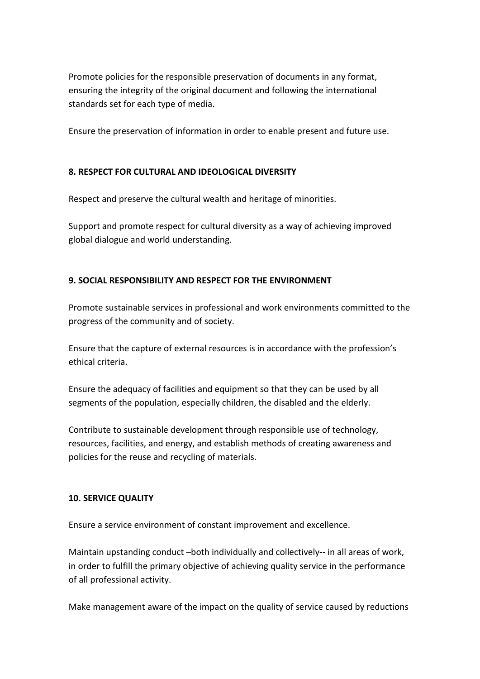Promote policies for the responsible preservation of documents in any format, ensuring the integrity of the original document and following the international standards set for each type of media.

Ensure the preservation of information in order to enable present and future use.

### **8. RESPECT FOR CULTURAL AND IDEOLOGICAL DIVERSITY**

Respect and preserve the cultural wealth and heritage of minorities.

Support and promote respect for cultural diversity as a way of achieving improved global dialogue and world understanding.

# **9. SOCIAL RESPONSIBILITY AND RESPECT FOR THE ENVIRONMENT**

Promote sustainable services in professional and work environments committed to the progress of the community and of society.

Ensure that the capture of external resources is in accordance with the profession's ethical criteria.

Ensure the adequacy of facilities and equipment so that they can be used by all segments of the population, especially children, the disabled and the elderly.

Contribute to sustainable development through responsible use of technology, resources, facilities, and energy, and establish methods of creating awareness and policies for the reuse and recycling of materials.

#### **10. SERVICE QUALITY**

Ensure a service environment of constant improvement and excellence.

Maintain upstanding conduct –both individually and collectively-- in all areas of work, in order to fulfill the primary objective of achieving quality service in the performance of all professional activity.

Make management aware of the impact on the quality of service caused by reductions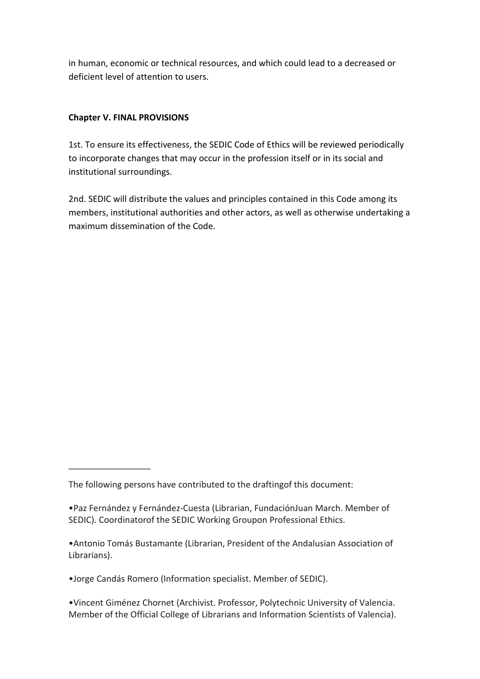in human, economic or technical resources, and which could lead to a decreased or deficient level of attention to users.

# **Chapter V. FINAL PROVISIONS**

\_\_\_\_\_\_\_\_\_\_\_\_\_\_\_\_\_

1st. To ensure its effectiveness, the SEDIC Code of Ethics will be reviewed periodically to incorporate changes that may occur in the profession itself or in its social and institutional surroundings.

2nd. SEDIC will distribute the values and principles contained in this Code among its members, institutional authorities and other actors, as well as otherwise undertaking a maximum dissemination of the Code.

•Jorge Candás Romero (Information specialist. Member of SEDIC).

•Vincent Giménez Chornet (Archivist. Professor, Polytechnic University of Valencia. Member of the Official College of Librarians and Information Scientists of Valencia).

The following persons have contributed to the draftingof this document:

<sup>•</sup>Paz Fernández y Fernández-Cuesta (Librarian, FundaciónJuan March. Member of SEDIC). Coordinatorof the SEDIC Working Groupon Professional Ethics.

<sup>•</sup>Antonio Tomás Bustamante (Librarian, President of the Andalusian Association of Librarians).